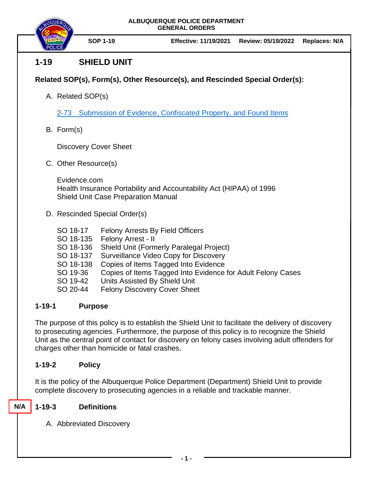

# **1-19 SHIELD UNIT**

## **Related SOP(s), Form(s), Other Resource(s), and Rescinded Special Order(s):**

A. Related SOP(s)

2-73 [Submission of Evidence, Confiscated Property, and Found Items](https://powerdms.com/docs/88)

B. Form(s)

Discovery Cover Sheet

C. Other Resource(s)

Evidence.com Health Insurance Portability and Accountability Act (HIPAA) of 1996 Shield Unit Case Preparation Manual

- D. Rescinded Special Order(s)
	- SO 18-17 Felony Arrests By Field Officers SO 18-135 Felony Arrest - II SO 18-136 Shield Unit (Formerly Paralegal Project) SO 18-137 Surveillance Video Copy for Discovery SO 18-138 Copies of Items Tagged Into Evidence SO 19-36 Copies of Items Tagged Into Evidence for Adult Felony Cases SO 19-42 Units Assisted By Shield Unit
	- SO 20-44 Felony Discovery Cover Sheet

## **1-19-1 Purpose**

The purpose of this policy is to establish the Shield Unit to facilitate the delivery of discovery to prosecuting agencies. Furthermore, the purpose of this policy is to recognize the Shield Unit as the central point of contact for discovery on felony cases involving adult offenders for charges other than homicide or fatal crashes.

## **1-19-2 Policy**

It is the policy of the Albuquerque Police Department (Department) Shield Unit to provide complete discovery to prosecuting agencies in a reliable and trackable manner.

#### **1-19-3 Definitions N/A**

A. Abbreviated Discovery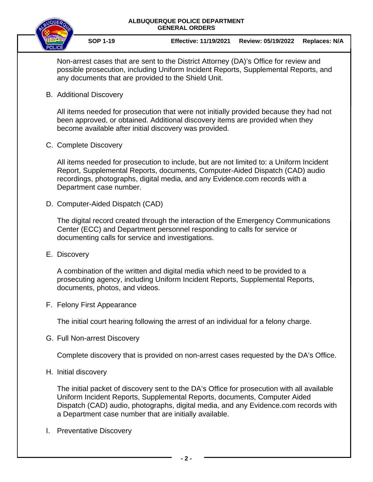

**SOP 1-19 Effective: 11/19/2021 Review: 05/19/2022 Replaces: N/A** 

Non-arrest cases that are sent to the District Attorney (DA)'s Office for review and possible prosecution, including Uniform Incident Reports, Supplemental Reports, and any documents that are provided to the Shield Unit.

B. Additional Discovery

All items needed for prosecution that were not initially provided because they had not been approved, or obtained. Additional discovery items are provided when they become available after initial discovery was provided.

C. Complete Discovery

All items needed for prosecution to include, but are not limited to: a Uniform Incident Report, Supplemental Reports, documents, Computer-Aided Dispatch (CAD) audio recordings, photographs, digital media, and any Evidence.com records with a Department case number.

D. Computer-Aided Dispatch (CAD)

The digital record created through the interaction of the Emergency Communications Center (ECC) and Department personnel responding to calls for service or documenting calls for service and investigations.

E. Discovery

A combination of the written and digital media which need to be provided to a prosecuting agency, including Uniform Incident Reports, Supplemental Reports, documents, photos, and videos.

F. Felony First Appearance

The initial court hearing following the arrest of an individual for a felony charge.

G. Full Non-arrest Discovery

Complete discovery that is provided on non-arrest cases requested by the DA's Office.

H. Initial discovery

The initial packet of discovery sent to the DA's Office for prosecution with all available Uniform Incident Reports, Supplemental Reports, documents, Computer Aided Dispatch (CAD) audio, photographs, digital media, and any Evidence.com records with a Department case number that are initially available.

I. Preventative Discovery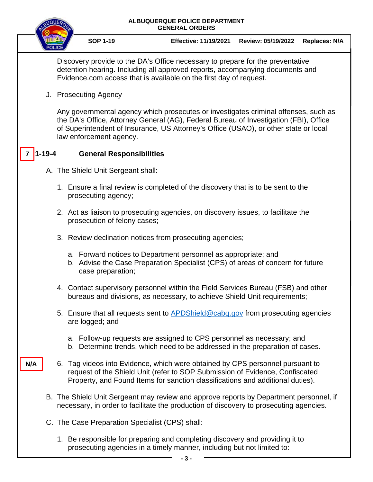| <b>ALBUQUERQUE POLICE DEPARTMENT</b><br><b>GENERAL ORDERS</b> |                                                                                                                                                                                                                                                                                                 |                     |                                                                                                                                                                                                                                                 |                    |                      |
|---------------------------------------------------------------|-------------------------------------------------------------------------------------------------------------------------------------------------------------------------------------------------------------------------------------------------------------------------------------------------|---------------------|-------------------------------------------------------------------------------------------------------------------------------------------------------------------------------------------------------------------------------------------------|--------------------|----------------------|
|                                                               |                                                                                                                                                                                                                                                                                                 | <b>SOP 1-19</b>     | <b>Effective: 11/19/2021</b>                                                                                                                                                                                                                    | Review: 05/19/2022 | <b>Replaces: N/A</b> |
|                                                               | Discovery provide to the DA's Office necessary to prepare for the preventative<br>detention hearing. Including all approved reports, accompanying documents and<br>Evidence.com access that is available on the first day of request.                                                           |                     |                                                                                                                                                                                                                                                 |                    |                      |
|                                                               | J. Prosecuting Agency                                                                                                                                                                                                                                                                           |                     |                                                                                                                                                                                                                                                 |                    |                      |
|                                                               | Any governmental agency which prosecutes or investigates criminal offenses, such as<br>the DA's Office, Attorney General (AG), Federal Bureau of Investigation (FBI), Office<br>of Superintendent of Insurance, US Attorney's Office (USAO), or other state or local<br>law enforcement agency. |                     |                                                                                                                                                                                                                                                 |                    |                      |
| <b>General Responsibilities</b>                               |                                                                                                                                                                                                                                                                                                 |                     |                                                                                                                                                                                                                                                 |                    |                      |
|                                                               | A. The Shield Unit Sergeant shall:                                                                                                                                                                                                                                                              |                     |                                                                                                                                                                                                                                                 |                    |                      |
|                                                               |                                                                                                                                                                                                                                                                                                 | prosecuting agency; | 1. Ensure a final review is completed of the discovery that is to be sent to the                                                                                                                                                                |                    |                      |
|                                                               | 2. Act as liaison to prosecuting agencies, on discovery issues, to facilitate the<br>prosecution of felony cases;                                                                                                                                                                               |                     |                                                                                                                                                                                                                                                 |                    |                      |
|                                                               | 3. Review declination notices from prosecuting agencies;                                                                                                                                                                                                                                        |                     |                                                                                                                                                                                                                                                 |                    |                      |
|                                                               |                                                                                                                                                                                                                                                                                                 | case preparation;   | a. Forward notices to Department personnel as appropriate; and<br>b. Advise the Case Preparation Specialist (CPS) of areas of concern for future                                                                                                |                    |                      |
|                                                               |                                                                                                                                                                                                                                                                                                 |                     | 4. Contact supervisory personnel within the Field Services Bureau (FSB) and other<br>bureaus and divisions, as necessary, to achieve Shield Unit requirements;                                                                                  |                    |                      |
|                                                               |                                                                                                                                                                                                                                                                                                 | are logged; and     | 5. Ensure that all requests sent to APDShield@cabq.gov from prosecuting agencies                                                                                                                                                                |                    |                      |
|                                                               |                                                                                                                                                                                                                                                                                                 |                     | a. Follow-up requests are assigned to CPS personnel as necessary; and<br>b. Determine trends, which need to be addressed in the preparation of cases.                                                                                           |                    |                      |
| N/A                                                           |                                                                                                                                                                                                                                                                                                 |                     | 6. Tag videos into Evidence, which were obtained by CPS personnel pursuant to<br>request of the Shield Unit (refer to SOP Submission of Evidence, Confiscated<br>Property, and Found Items for sanction classifications and additional duties). |                    |                      |
|                                                               | B. The Shield Unit Sergeant may review and approve reports by Department personnel, if<br>necessary, in order to facilitate the production of discovery to prosecuting agencies.                                                                                                                |                     |                                                                                                                                                                                                                                                 |                    |                      |
|                                                               | C. The Case Preparation Specialist (CPS) shall:                                                                                                                                                                                                                                                 |                     |                                                                                                                                                                                                                                                 |                    |                      |

1. Be responsible for preparing and completing discovery and providing it to prosecuting agencies in a timely manner, including but not limited to: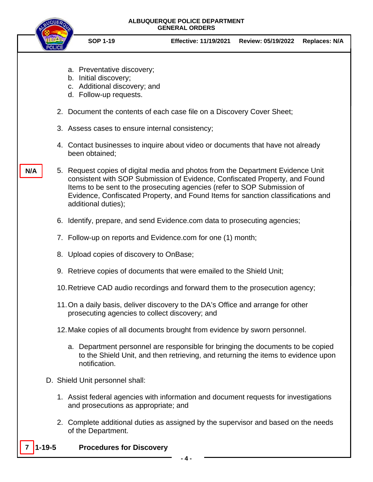

**N/A**

- **SOP 1-19 Effective: 11/19/2021 Review: 05/19/2022 Replaces: N/A**
- a. Preventative discovery;
- b. Initial discovery;
- c. Additional discovery; and
- d. Follow-up requests.
- 2. Document the contents of each case file on a Discovery Cover Sheet;
- 3. Assess cases to ensure internal consistency;
- 4. Contact businesses to inquire about video or documents that have not already been obtained;
- 5. Request copies of digital media and photos from the Department Evidence Unit consistent with SOP Submission of Evidence, Confiscated Property, and Found Items to be sent to the prosecuting agencies (refer to SOP Submission of Evidence, Confiscated Property, and Found Items for sanction classifications and additional duties);
	- 6. Identify, prepare, and send Evidence.com data to prosecuting agencies;
	- 7. Follow-up on reports and Evidence.com for one (1) month;
	- 8. Upload copies of discovery to OnBase;
	- 9. Retrieve copies of documents that were emailed to the Shield Unit;
	- 10.Retrieve CAD audio recordings and forward them to the prosecution agency;
	- 11.On a daily basis, deliver discovery to the DA's Office and arrange for other prosecuting agencies to collect discovery; and
	- 12.Make copies of all documents brought from evidence by sworn personnel.
		- a. Department personnel are responsible for bringing the documents to be copied to the Shield Unit, and then retrieving, and returning the items to evidence upon notification.
- D. Shield Unit personnel shall:
	- 1. Assist federal agencies with information and document requests for investigations and prosecutions as appropriate; and
	- 2. Complete additional duties as assigned by the supervisor and based on the needs of the Department.
- **7 1-19-5 Procedures for Discovery**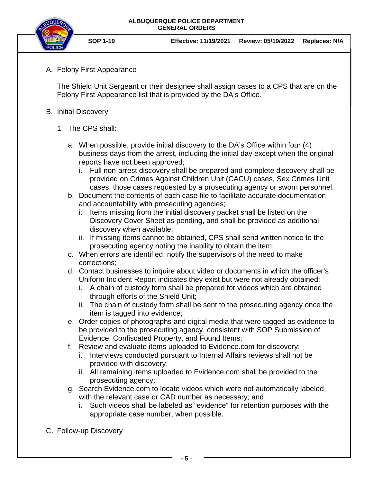

A. Felony First Appearance

The Shield Unit Sergeant or their designee shall assign cases to a CPS that are on the Felony First Appearance list that is provided by the DA's Office.

- B. Initial Discovery
	- 1. The CPS shall:
		- a. When possible, provide initial discovery to the DA's Office within four (4) business days from the arrest, including the initial day except when the original reports have not been approved;
			- i. Full non-arrest discovery shall be prepared and complete discovery shall be provided on Crimes Against Children Unit (CACU) cases, Sex Crimes Unit cases, those cases requested by a prosecuting agency or sworn personnel.
		- b. Document the contents of each case file to facilitate accurate documentation and accountability with prosecuting agencies;
			- i. Items missing from the initial discovery packet shall be listed on the Discovery Cover Sheet as pending, and shall be provided as additional discovery when available;
			- ii. If missing items cannot be obtained, CPS shall send written notice to the prosecuting agency noting the inability to obtain the item;
		- c. When errors are identified, notify the supervisors of the need to make corrections;
		- d. Contact businesses to inquire about video or documents in which the officer's Uniform Incident Report indicates they exist but were not already obtained;
			- i. A chain of custody form shall be prepared for videos which are obtained through efforts of the Shield Unit;
			- ii. The chain of custody form shall be sent to the prosecuting agency once the item is tagged into evidence;
		- e. Order copies of photographs and digital media that were tagged as evidence to be provided to the prosecuting agency, consistent with SOP Submission of Evidence, Confiscated Property, and Found Items;
		- f. Review and evaluate items uploaded to Evidence.com for discovery;
			- i. Interviews conducted pursuant to Internal Affairs reviews shall not be provided with discovery;
			- ii. All remaining items uploaded to Evidence.com shall be provided to the prosecuting agency;
		- g. Search Evidence.com to locate videos which were not automatically labeled with the relevant case or CAD number as necessary; and
			- i. Such videos shall be labeled as "evidence" for retention purposes with the appropriate case number, when possible.
- C. Follow-up Discovery